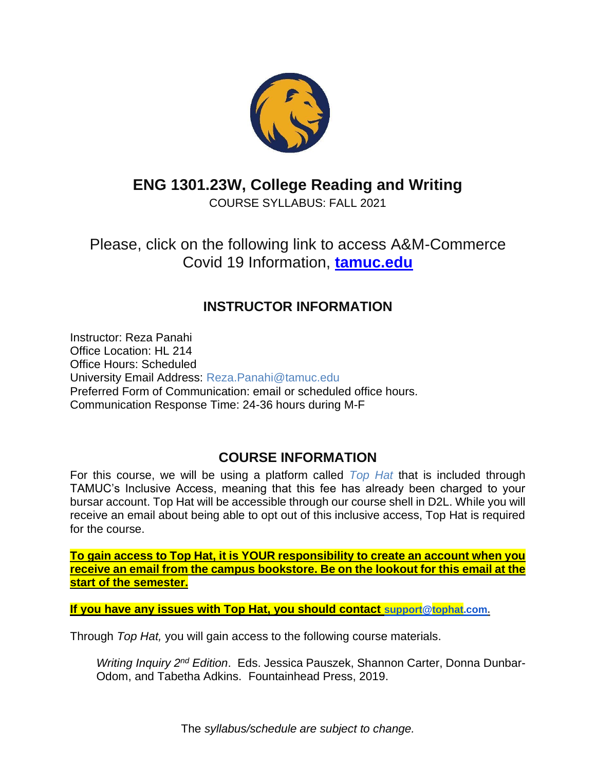

# **ENG 1301.23W, College Reading and Writing**

COURSE SYLLABUS: FALL 2021

Please, click on the following link to access A&M-Commerce Covid 19 Information, **[tamuc.edu](http://www.tamuc.edu/)**

## **INSTRUCTOR INFORMATION**

Instructor: Reza Panahi Office Location: HL 214 Office Hours: Scheduled University Email Address: Reza.Panahi@tamuc.edu Preferred Form of Communication: email or scheduled office hours. Communication Response Time: 24-36 hours during M-F

## **COURSE INFORMATION**

For this course, we will be using a platform called *Top Hat* that is included through TAMUC's Inclusive Access, meaning that this fee has already been charged to your bursar account. Top Hat will be accessible through our course shell in D2L. While you will receive an email about being able to opt out of this inclusive access, Top Hat is required for the course.

**To gain access to Top Hat, it is YOUR responsibility to create an account when you receive an email from the campus bookstore. Be on the lookout for this email at the start of the semester.**

**If you have any issues with Top Hat, you should contact [support@tophat.com.](mailto:support@tophat.com)** 

Through *Top Hat,* you will gain access to the following course materials.

*Writing Inquiry 2nd Edition*. Eds. Jessica Pauszek, Shannon Carter, Donna Dunbar-Odom, and Tabetha Adkins. Fountainhead Press, 2019.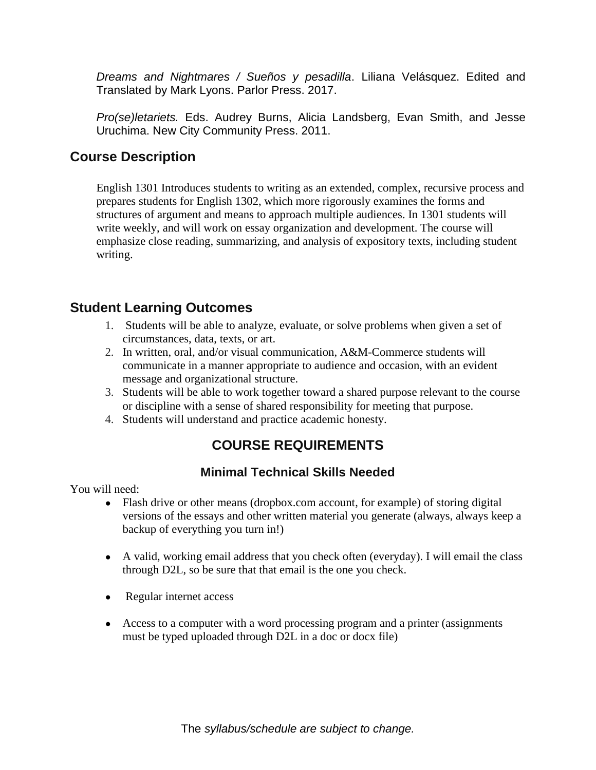*Dreams and Nightmares / Sueños y pesadilla*. Liliana Velásquez. Edited and Translated by Mark Lyons. Parlor Press. 2017.

*Pro(se)letariets.* Eds. Audrey Burns, Alicia Landsberg, Evan Smith, and Jesse Uruchima. New City Community Press. 2011.

### **Course Description**

English 1301 Introduces students to writing as an extended, complex, recursive process and prepares students for English 1302, which more rigorously examines the forms and structures of argument and means to approach multiple audiences. In 1301 students will write weekly, and will work on essay organization and development. The course will emphasize close reading, summarizing, and analysis of expository texts, including student writing.

## **Student Learning Outcomes**

- 1. Students will be able to analyze, evaluate, or solve problems when given a set of circumstances, data, texts, or art.
- 2. In written, oral, and/or visual communication, A&M-Commerce students will communicate in a manner appropriate to audience and occasion, with an evident message and organizational structure.
- 3. Students will be able to work together toward a shared purpose relevant to the course or discipline with a sense of shared responsibility for meeting that purpose.
- 4. Students will understand and practice academic honesty.

## **COURSE REQUIREMENTS**

### **Minimal Technical Skills Needed**

You will need:

- Flash drive or other means (dropbox.com account, for example) of storing digital versions of the essays and other written material you generate (always, always keep a backup of everything you turn in!)
- A valid, working email address that you check often (everyday). I will email the class through D2L, so be sure that that email is the one you check.
- Regular internet access
- Access to a computer with a word processing program and a printer (assignments must be typed uploaded through D2L in a doc or docx file)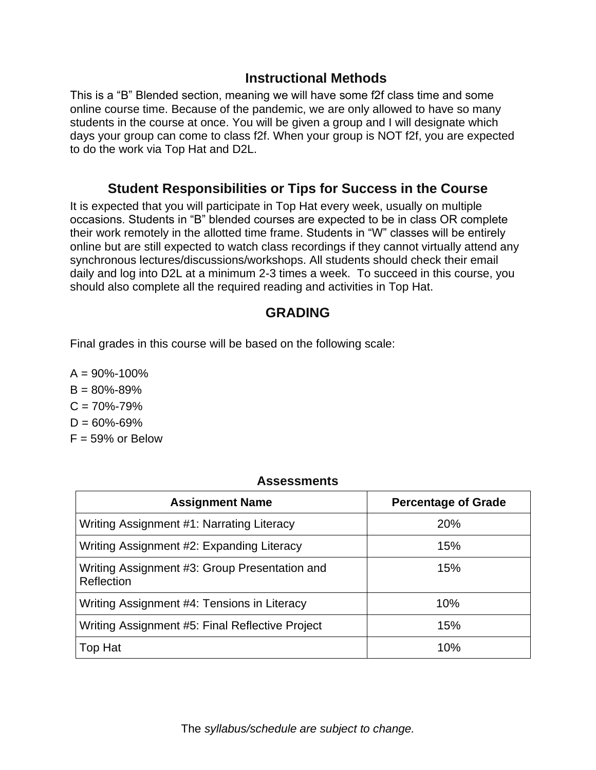### **Instructional Methods**

This is a "B" Blended section, meaning we will have some f2f class time and some online course time. Because of the pandemic, we are only allowed to have so many students in the course at once. You will be given a group and I will designate which days your group can come to class f2f. When your group is NOT f2f, you are expected to do the work via Top Hat and D2L.

### **Student Responsibilities or Tips for Success in the Course**

It is expected that you will participate in Top Hat every week, usually on multiple occasions. Students in "B" blended courses are expected to be in class OR complete their work remotely in the allotted time frame. Students in "W" classes will be entirely online but are still expected to watch class recordings if they cannot virtually attend any synchronous lectures/discussions/workshops. All students should check their email daily and log into D2L at a minimum 2-3 times a week. To succeed in this course, you should also complete all the required reading and activities in Top Hat.

### **GRADING**

Final grades in this course will be based on the following scale:

 $A = 90\% - 100\%$  $B = 80\% - 89\%$  $C = 70\% - 79\%$  $D = 60\% - 69\%$  $F = 59\%$  or Below

#### **Assessments**

| <b>Assignment Name</b>                                      | <b>Percentage of Grade</b> |
|-------------------------------------------------------------|----------------------------|
| Writing Assignment #1: Narrating Literacy                   | 20%                        |
| Writing Assignment #2: Expanding Literacy                   | 15%                        |
| Writing Assignment #3: Group Presentation and<br>Reflection | 15%                        |
| Writing Assignment #4: Tensions in Literacy                 | 10%                        |
| Writing Assignment #5: Final Reflective Project             | 15%                        |
| Top Hat                                                     | 10%                        |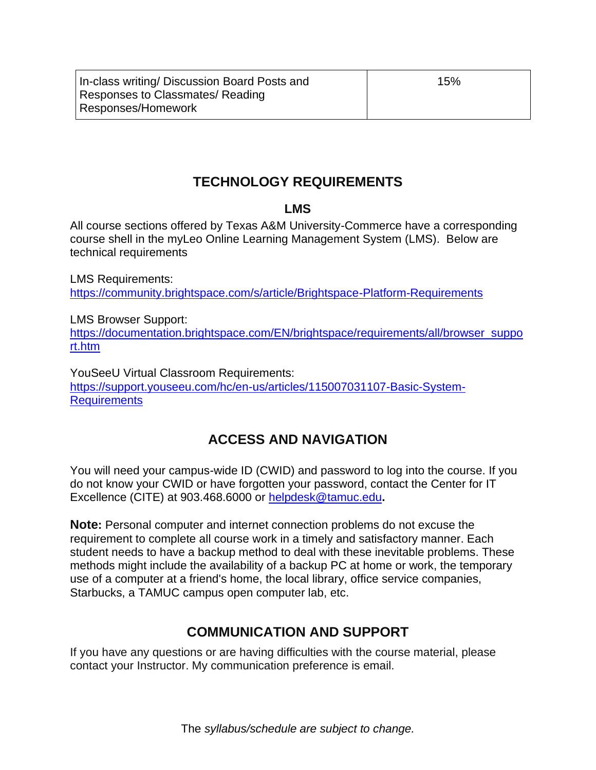In-class writing/ Discussion Board Posts and Responses to Classmates/ Reading Responses/Homework

15%

## **TECHNOLOGY REQUIREMENTS**

#### **LMS**

All course sections offered by Texas A&M University-Commerce have a corresponding course shell in the myLeo Online Learning Management System (LMS). Below are technical requirements

LMS Requirements: <https://community.brightspace.com/s/article/Brightspace-Platform-Requirements>

LMS Browser Support: [https://documentation.brightspace.com/EN/brightspace/requirements/all/browser\\_suppo](https://documentation.brightspace.com/EN/brightspace/requirements/all/browser_support.htm) [rt.htm](https://documentation.brightspace.com/EN/brightspace/requirements/all/browser_support.htm)

YouSeeU Virtual Classroom Requirements: [https://support.youseeu.com/hc/en-us/articles/115007031107-Basic-System-](https://support.youseeu.com/hc/en-us/articles/115007031107-Basic-System-Requirements)**[Requirements](https://support.youseeu.com/hc/en-us/articles/115007031107-Basic-System-Requirements)** 

## **ACCESS AND NAVIGATION**

You will need your campus-wide ID (CWID) and password to log into the course. If you do not know your CWID or have forgotten your password, contact the Center for IT Excellence (CITE) at 903.468.6000 or [helpdesk@tamuc.edu](mailto:helpdesk@tamuc.edu)**.**

**Note:** Personal computer and internet connection problems do not excuse the requirement to complete all course work in a timely and satisfactory manner. Each student needs to have a backup method to deal with these inevitable problems. These methods might include the availability of a backup PC at home or work, the temporary use of a computer at a friend's home, the local library, office service companies, Starbucks, a TAMUC campus open computer lab, etc.

## **COMMUNICATION AND SUPPORT**

If you have any questions or are having difficulties with the course material, please contact your Instructor. My communication preference is email.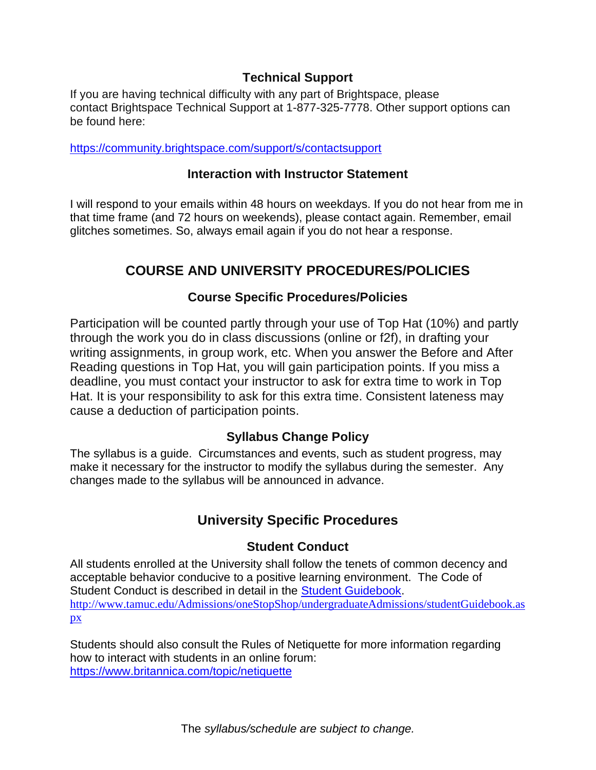### **Technical Support**

If you are having technical difficulty with any part of Brightspace, please contact Brightspace Technical Support at 1-877-325-7778. Other support options can be found here:

<https://community.brightspace.com/support/s/contactsupport>

#### **Interaction with Instructor Statement**

I will respond to your emails within 48 hours on weekdays. If you do not hear from me in that time frame (and 72 hours on weekends), please contact again. Remember, email glitches sometimes. So, always email again if you do not hear a response.

## **COURSE AND UNIVERSITY PROCEDURES/POLICIES**

#### **Course Specific Procedures/Policies**

Participation will be counted partly through your use of Top Hat (10%) and partly through the work you do in class discussions (online or f2f), in drafting your writing assignments, in group work, etc. When you answer the Before and After Reading questions in Top Hat, you will gain participation points. If you miss a deadline, you must contact your instructor to ask for extra time to work in Top Hat. It is your responsibility to ask for this extra time. Consistent lateness may cause a deduction of participation points.

### **Syllabus Change Policy**

The syllabus is a guide. Circumstances and events, such as student progress, may make it necessary for the instructor to modify the syllabus during the semester. Any changes made to the syllabus will be announced in advance.

## **University Specific Procedures**

#### **Student Conduct**

All students enrolled at the University shall follow the tenets of common decency and acceptable behavior conducive to a positive learning environment. The Code of Student Conduct is described in detail in the [Student Guidebook.](http://www.tamuc.edu/Admissions/oneStopShop/undergraduateAdmissions/studentGuidebook.aspx) [http://www.tamuc.edu/Admissions/oneStopShop/undergraduateAdmissions/studentGuidebook.as](http://www.tamuc.edu/Admissions/oneStopShop/undergraduateAdmissions/studentGuidebook.aspx) [px](http://www.tamuc.edu/Admissions/oneStopShop/undergraduateAdmissions/studentGuidebook.aspx)

Students should also consult the Rules of Netiquette for more information regarding how to interact with students in an online forum: <https://www.britannica.com/topic/netiquette>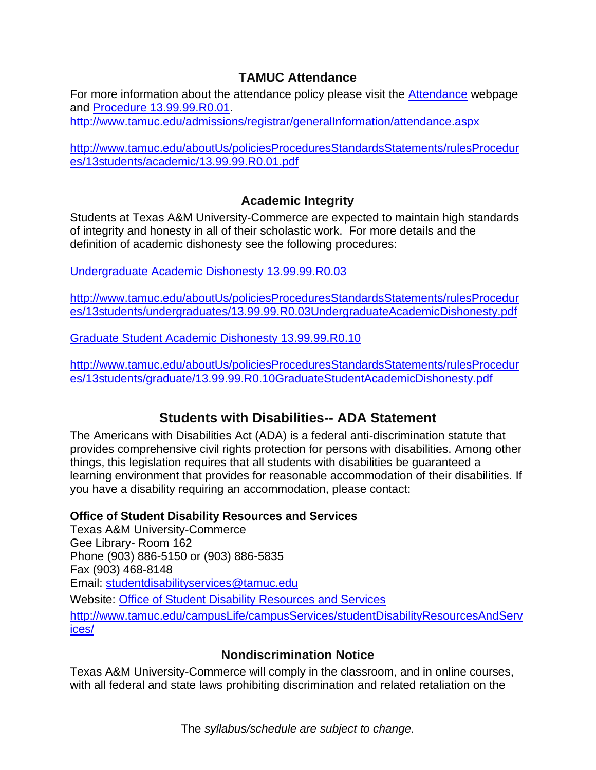### **TAMUC Attendance**

For more information about the attendance policy please visit the [Attendance](http://www.tamuc.edu/admissions/registrar/generalInformation/attendance.aspx) webpage and [Procedure 13.99.99.R0.01.](http://www.tamuc.edu/aboutUs/policiesProceduresStandardsStatements/rulesProcedures/13students/academic/13.99.99.R0.01.pdf)

<http://www.tamuc.edu/admissions/registrar/generalInformation/attendance.aspx>

[http://www.tamuc.edu/aboutUs/policiesProceduresStandardsStatements/rulesProcedur](http://www.tamuc.edu/aboutUs/policiesProceduresStandardsStatements/rulesProcedures/13students/academic/13.99.99.R0.01.pdf) [es/13students/academic/13.99.99.R0.01.pdf](http://www.tamuc.edu/aboutUs/policiesProceduresStandardsStatements/rulesProcedures/13students/academic/13.99.99.R0.01.pdf)

#### **Academic Integrity**

Students at Texas A&M University-Commerce are expected to maintain high standards of integrity and honesty in all of their scholastic work. For more details and the definition of academic dishonesty see the following procedures:

[Undergraduate Academic Dishonesty 13.99.99.R0.03](http://www.tamuc.edu/aboutUs/policiesProceduresStandardsStatements/rulesProcedures/13students/undergraduates/13.99.99.R0.03UndergraduateAcademicDishonesty.pdf)

[http://www.tamuc.edu/aboutUs/policiesProceduresStandardsStatements/rulesProcedur](http://www.tamuc.edu/aboutUs/policiesProceduresStandardsStatements/rulesProcedures/13students/undergraduates/13.99.99.R0.03UndergraduateAcademicDishonesty.pdf) [es/13students/undergraduates/13.99.99.R0.03UndergraduateAcademicDishonesty.pdf](http://www.tamuc.edu/aboutUs/policiesProceduresStandardsStatements/rulesProcedures/13students/undergraduates/13.99.99.R0.03UndergraduateAcademicDishonesty.pdf)

[Graduate Student Academic Dishonesty 13.99.99.R0.10](http://www.tamuc.edu/aboutUs/policiesProceduresStandardsStatements/rulesProcedures/13students/graduate/13.99.99.R0.10GraduateStudentAcademicDishonesty.pdf)

[http://www.tamuc.edu/aboutUs/policiesProceduresStandardsStatements/rulesProcedur](http://www.tamuc.edu/aboutUs/policiesProceduresStandardsStatements/rulesProcedures/13students/graduate/13.99.99.R0.10GraduateStudentAcademicDishonesty.pdf) [es/13students/graduate/13.99.99.R0.10GraduateStudentAcademicDishonesty.pdf](http://www.tamuc.edu/aboutUs/policiesProceduresStandardsStatements/rulesProcedures/13students/graduate/13.99.99.R0.10GraduateStudentAcademicDishonesty.pdf)

### **Students with Disabilities-- ADA Statement**

The Americans with Disabilities Act (ADA) is a federal anti-discrimination statute that provides comprehensive civil rights protection for persons with disabilities. Among other things, this legislation requires that all students with disabilities be guaranteed a learning environment that provides for reasonable accommodation of their disabilities. If you have a disability requiring an accommodation, please contact:

#### **Office of Student Disability Resources and Services**

Texas A&M University-Commerce Gee Library- Room 162 Phone (903) 886-5150 or (903) 886-5835 Fax (903) 468-8148 Email: [studentdisabilityservices@tamuc.edu](mailto:studentdisabilityservices@tamuc.edu) Website: [Office of Student Disability Resources and Services](http://www.tamuc.edu/campusLife/campusServices/studentDisabilityResourcesAndServices/) [http://www.tamuc.edu/campusLife/campusServices/studentDisabilityResourcesAndServ](http://www.tamuc.edu/campusLife/campusServices/studentDisabilityResourcesAndServices/) [ices/](http://www.tamuc.edu/campusLife/campusServices/studentDisabilityResourcesAndServices/)

#### **Nondiscrimination Notice**

Texas A&M University-Commerce will comply in the classroom, and in online courses, with all federal and state laws prohibiting discrimination and related retaliation on the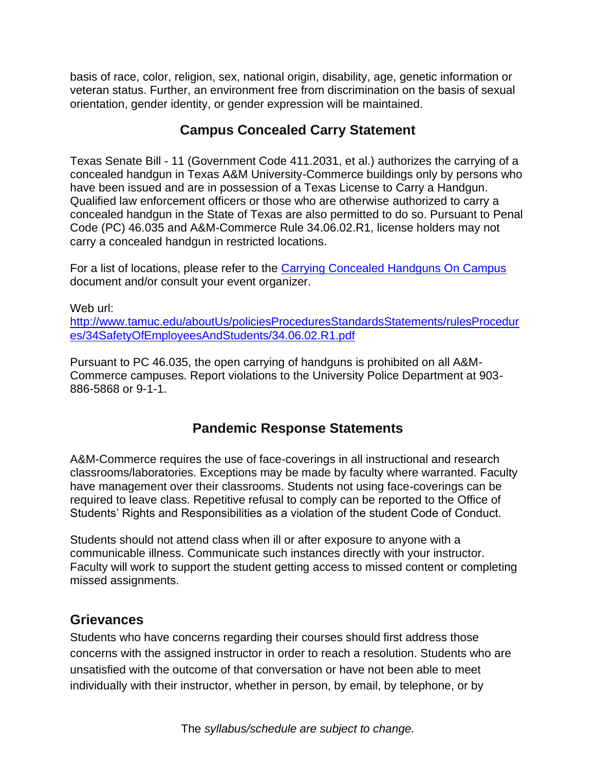basis of race, color, religion, sex, national origin, disability, age, genetic information or veteran status. Further, an environment free from discrimination on the basis of sexual orientation, gender identity, or gender expression will be maintained.

### **Campus Concealed Carry Statement**

Texas Senate Bill - 11 (Government Code 411.2031, et al.) authorizes the carrying of a concealed handgun in Texas A&M University-Commerce buildings only by persons who have been issued and are in possession of a Texas License to Carry a Handgun. Qualified law enforcement officers or those who are otherwise authorized to carry a concealed handgun in the State of Texas are also permitted to do so. Pursuant to Penal Code (PC) 46.035 and A&M-Commerce Rule 34.06.02.R1, license holders may not carry a concealed handgun in restricted locations.

For a list of locations, please refer to the [Carrying Concealed Handguns On Campus](http://www.tamuc.edu/aboutUs/policiesProceduresStandardsStatements/rulesProcedures/34SafetyOfEmployeesAndStudents/34.06.02.R1.pdf) document and/or consult your event organizer.

Web url: [http://www.tamuc.edu/aboutUs/policiesProceduresStandardsStatements/rulesProcedur](http://www.tamuc.edu/aboutUs/policiesProceduresStandardsStatements/rulesProcedures/34SafetyOfEmployeesAndStudents/34.06.02.R1.pdf) [es/34SafetyOfEmployeesAndStudents/34.06.02.R1.pdf](http://www.tamuc.edu/aboutUs/policiesProceduresStandardsStatements/rulesProcedures/34SafetyOfEmployeesAndStudents/34.06.02.R1.pdf)

Pursuant to PC 46.035, the open carrying of handguns is prohibited on all A&M-Commerce campuses. Report violations to the University Police Department at 903- 886-5868 or 9-1-1.

### **Pandemic Response Statements**

A&M-Commerce requires the use of face-coverings in all instructional and research classrooms/laboratories. Exceptions may be made by faculty where warranted. Faculty have management over their classrooms. Students not using face-coverings can be required to leave class. Repetitive refusal to comply can be reported to the Office of Students' Rights and Responsibilities as a violation of the student Code of Conduct.

Students should not attend class when ill or after exposure to anyone with a communicable illness. Communicate such instances directly with your instructor. Faculty will work to support the student getting access to missed content or completing missed assignments.

### **Grievances**

Students who have concerns regarding their courses should first address those concerns with the assigned instructor in order to reach a resolution. Students who are unsatisfied with the outcome of that conversation or have not been able to meet individually with their instructor, whether in person, by email, by telephone, or by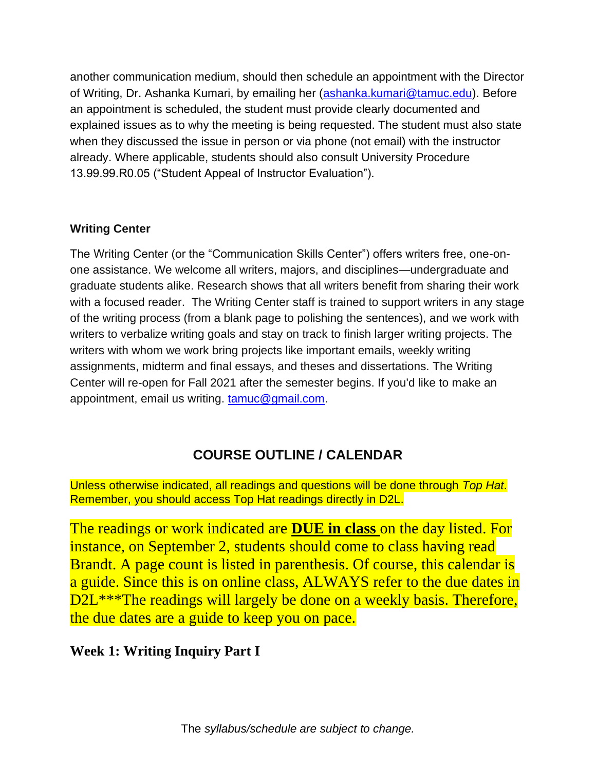another communication medium, should then schedule an appointment with the Director of Writing, Dr. Ashanka Kumari, by emailing her [\(ashanka.kumari@tamuc.edu\)](mailto:ashanka.kumari@tamuc.edu). Before an appointment is scheduled, the student must provide clearly documented and explained issues as to why the meeting is being requested. The student must also state when they discussed the issue in person or via phone (not email) with the instructor already. Where applicable, students should also consult University Procedure 13.99.99.R0.05 ("Student Appeal of Instructor Evaluation").

### **Writing Center**

The Writing Center (or the "Communication Skills Center") offers writers free, one-onone assistance. We welcome all writers, majors, and disciplines—undergraduate and graduate students alike. Research shows that all writers benefit from sharing their work with a focused reader. The Writing Center staff is trained to support writers in any stage of the writing process (from a blank page to polishing the sentences), and we work with writers to verbalize writing goals and stay on track to finish larger writing projects. The writers with whom we work bring projects like important emails, weekly writing assignments, midterm and final essays, and theses and dissertations. The Writing Center will re-open for Fall 2021 after the semester begins. If you'd like to make an appointment, email us writing. [tamuc@gmail.com.](mailto:tamuc@gmail.com)

# **COURSE OUTLINE / CALENDAR**

Unless otherwise indicated, all readings and questions will be done through *Top Hat*. Remember, you should access Top Hat readings directly in D2L.

The readings or work indicated are **DUE in class** on the day listed. For instance, on September 2, students should come to class having read Brandt. A page count is listed in parenthesis. Of course, this calendar is a guide. Since this is on online class, ALWAYS refer to the due dates in D2L<sup>\*\*\*</sup>The readings will largely be done on a weekly basis. Therefore, the due dates are a guide to keep you on pace.

## **Week 1: Writing Inquiry Part I**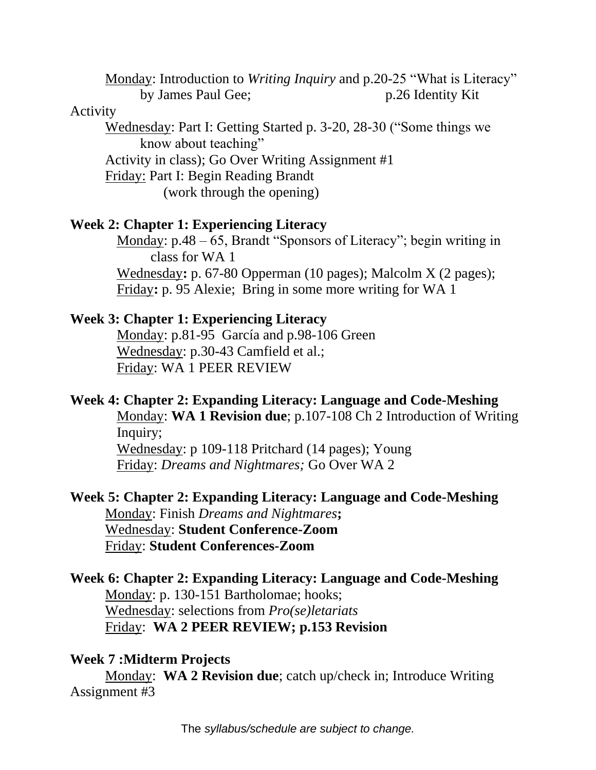Monday: Introduction to *Writing Inquiry* and p.20-25 "What is Literacy" by James Paul Gee; p.26 Identity Kit

#### Activity

Wednesday: Part I: Getting Started p. 3-20, 28-30 ("Some things we know about teaching" Activity in class); Go Over Writing Assignment #1 Friday: Part I: Begin Reading Brandt

(work through the opening)

#### **Week 2: Chapter 1: Experiencing Literacy**

Monday: p.48 – 65, Brandt "Sponsors of Literacy"; begin writing in class for WA 1 Wednesday**:** p. 67-80 Opperman (10 pages); Malcolm X (2 pages); Friday**:** p. 95 Alexie; Bring in some more writing for WA 1

#### **Week 3: Chapter 1: Experiencing Literacy**

Monday: p.81-95 García and p.98-106 Green Wednesday: p.30-43 Camfield et al.; Friday: WA 1 PEER REVIEW

#### **Week 4: Chapter 2: Expanding Literacy: Language and Code-Meshing**

Monday: **WA 1 Revision due**; p.107-108 Ch 2 Introduction of Writing Inquiry;

Wednesday: p 109-118 Pritchard (14 pages); Young Friday: *Dreams and Nightmares;* Go Over WA 2

### **Week 5: Chapter 2: Expanding Literacy: Language and Code-Meshing** Monday: Finish *Dreams and Nightmares***;** Wednesday: **Student Conference-Zoom** Friday: **Student Conferences-Zoom**

## **Week 6: Chapter 2: Expanding Literacy: Language and Code-Meshing** Monday: p. 130-151 Bartholomae; hooks; Wednesday: selections from *Pro(se)letariats* Friday: **WA 2 PEER REVIEW; p.153 Revision**

### **Week 7 :Midterm Projects**

Monday: **WA 2 Revision due**; catch up/check in; Introduce Writing Assignment #3

The *syllabus/schedule are subject to change.*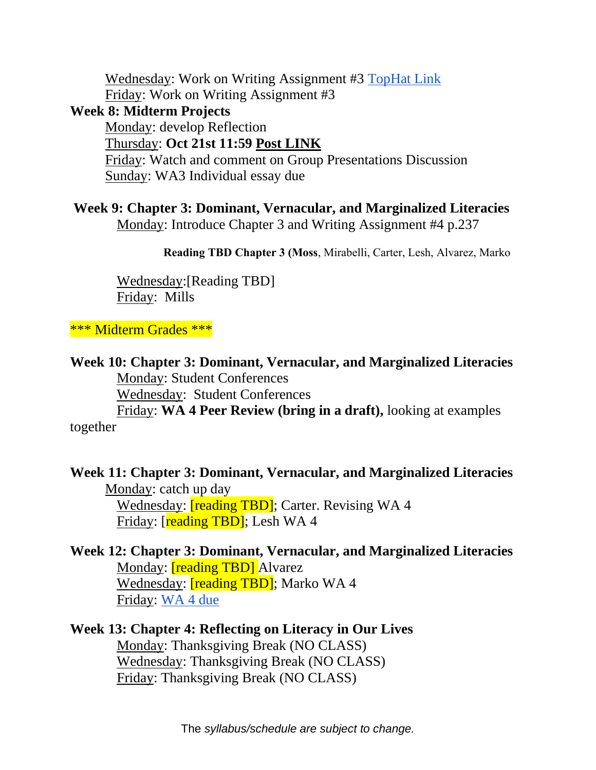Wednesday: Work on Writing Assignment #3 [TopHat Link](https://app.tophat.com/e/299089/page/317776811) Friday: Work on Writing Assignment #3

**Week 8: Midterm Projects**

Monday: develop Reflection

Thursday: **Oct 21st 11:59 Post LINK**

Friday: Watch and comment on Group Presentations Discussion Sunday: WA3 Individual essay due

**Week 9: Chapter 3: Dominant, Vernacular, and Marginalized Literacies**

Monday: Introduce Chapter 3 and Writing Assignment #4 p.237

**Reading TBD Chapter 3 (Moss**, Mirabelli, Carter, Lesh, Alvarez, Marko

Wednesday:[Reading TBD] Friday: Mills

\*\*\* Midterm Grades \*\*\*

**Week 10: Chapter 3: Dominant, Vernacular, and Marginalized Literacies** Monday: Student Conferences Wednesday: Student Conferences Friday: **WA 4 Peer Review (bring in a draft),** looking at examples together

**Week 11: Chapter 3: Dominant, Vernacular, and Marginalized Literacies** Monday: catch up day Wednesday: **[reading TBD]**; Carter. Revising WA 4 Friday: [reading TBD]; Lesh WA 4

**Week 12: Chapter 3: Dominant, Vernacular, and Marginalized Literacies** Monday: **[reading TBD]** Alvarez Wednesday: **[reading TBD]**; Marko WA 4 Friday: [WA 4 due](https://app.tophat.com/e/299089/page/317776944)

**Week 13: Chapter 4: Reflecting on Literacy in Our Lives** Monday: Thanksgiving Break (NO CLASS) Wednesday: Thanksgiving Break (NO CLASS) Friday: Thanksgiving Break (NO CLASS)